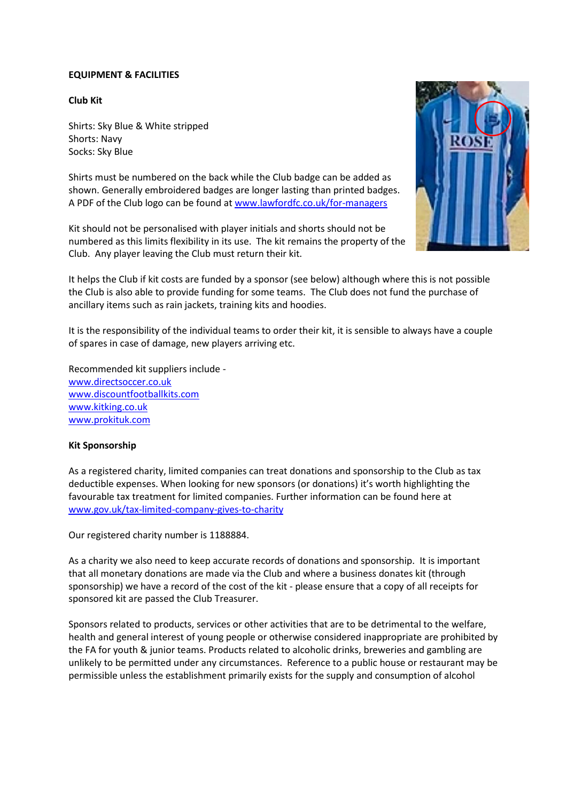## **EQUIPMENT & FACILITIES**

# **Club Kit**

Shirts: Sky Blue & White stripped Shorts: Navy Socks: Sky Blue

Shirts must be numbered on the back while the Club badge can be added as shown. Generally embroidered badges are longer lasting than printed badges. A PDF of the Club logo can be found a[t www.lawfordfc.co.uk/for-managers](http://www.lawfordfc.co.uk/for-managers)

Kit should not be personalised with player initials and shorts should not be numbered as this limits flexibility in its use. The kit remains the property of the Club. Any player leaving the Club must return their kit.



It helps the Club if kit costs are funded by a sponsor (see below) although where this is not possible the Club is also able to provide funding for some teams. The Club does not fund the purchase of ancillary items such as rain jackets, training kits and hoodies.

It is the responsibility of the individual teams to order their kit, it is sensible to always have a couple of spares in case of damage, new players arriving etc.

Recommended kit suppliers include [www.directsoccer.co.uk](https://protect-eu.mimecast.com/s/6MaICXQN9fk5MncVq4KL?domain=directsoccer.co.uk/) [www.discountfootballkits.com](https://protect-eu.mimecast.com/s/P_qpCZ8P9sX4oMSySmqp?domain=discountfootballkits.com/) www.kitking.co.uk [www.prokituk.com](http://www.prokituk.com/)

### **Kit Sponsorship**

As a registered charity, limited companies can treat donations and sponsorship to the Club as tax deductible expenses. When looking for new sponsors (or donations) it's worth highlighting the favourable tax treatment for limited companies. Further information can be found here at [www.gov.uk/tax-limited-company-gives-to-charity](http://www.gov.uk/tax-limited-company-gives-to-charity)

Our registered charity number is 1188884.

As a charity we also need to keep accurate records of donations and sponsorship. It is important that all monetary donations are made via the Club and where a business donates kit (through sponsorship) we have a record of the cost of the kit - please ensure that a copy of all receipts for sponsored kit are passed the Club Treasurer.

Sponsors related to products, services or other activities that are to be detrimental to the welfare, health and general interest of young people or otherwise considered inappropriate are prohibited by the FA for youth & junior teams. Products related to alcoholic drinks, breweries and gambling are unlikely to be permitted under any circumstances. Reference to a public house or restaurant may be permissible unless the establishment primarily exists for the supply and consumption of alcohol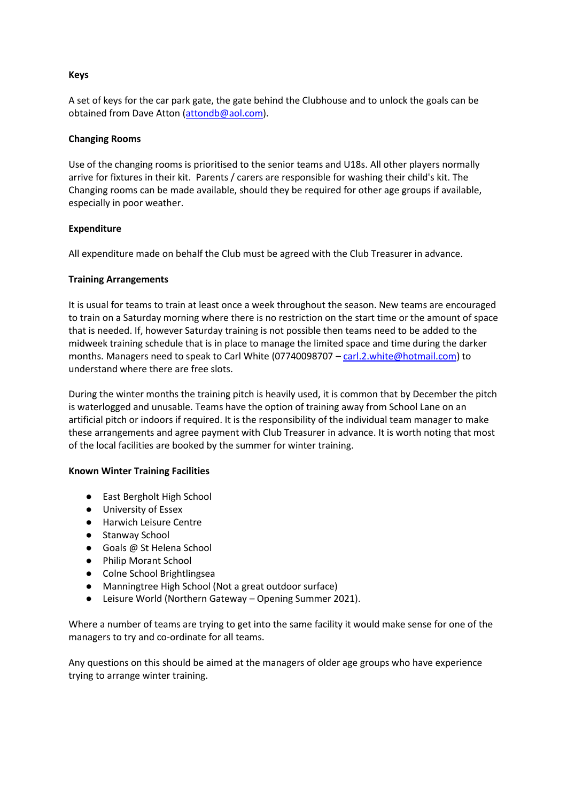### **Keys**

A set of keys for the car park gate, the gate behind the Clubhouse and to unlock the goals can be obtained from Dave Atton [\(attondb@aol.com\)](mailto:attondb@aol.com).

## **Changing Rooms**

Use of the changing rooms is prioritised to the senior teams and U18s. All other players normally arrive for fixtures in their kit. Parents / carers are responsible for washing their child's kit. The Changing rooms can be made available, should they be required for other age groups if available, especially in poor weather.

# **Expenditure**

All expenditure made on behalf the Club must be agreed with the Club Treasurer in advance.

# **Training Arrangements**

It is usual for teams to train at least once a week throughout the season. New teams are encouraged to train on a Saturday morning where there is no restriction on the start time or the amount of space that is needed. If, however Saturday training is not possible then teams need to be added to the midweek training schedule that is in place to manage the limited space and time during the darker months. Managers need to speak to Carl White (07740098707 – [carl.2.white@hotmail.com\)](mailto:carl.2.white@hotmail.com) to understand where there are free slots.

During the winter months the training pitch is heavily used, it is common that by December the pitch is waterlogged and unusable. Teams have the option of training away from School Lane on an artificial pitch or indoors if required. It is the responsibility of the individual team manager to make these arrangements and agree payment with Club Treasurer in advance. It is worth noting that most of the local facilities are booked by the summer for winter training.

### **Known Winter Training Facilities**

- East Bergholt High School
- University of Essex
- Harwich Leisure Centre
- Stanway School
- Goals @ St Helena School
- Philip Morant School
- Colne School Brightlingsea
- Manningtree High School (Not a great outdoor surface)
- Leisure World (Northern Gateway Opening Summer 2021).

Where a number of teams are trying to get into the same facility it would make sense for one of the managers to try and co-ordinate for all teams.

Any questions on this should be aimed at the managers of older age groups who have experience trying to arrange winter training.